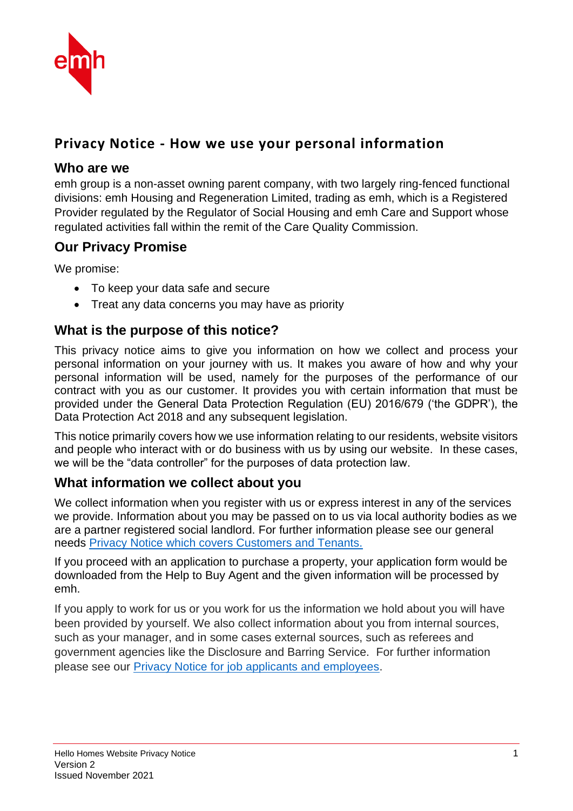

# **Privacy Notice - How we use your personal information**

### **Who are we**

emh group is a non-asset owning parent company, with two largely ring-fenced functional divisions: emh Housing and Regeneration Limited, trading as emh, which is a Registered Provider regulated by the Regulator of Social Housing and emh Care and Support whose regulated activities fall within the remit of the Care Quality Commission.

## **Our Privacy Promise**

We promise:

- To keep your data safe and secure
- Treat any data concerns you may have as priority

## **What is the purpose of this notice?**

This privacy notice aims to give you information on how we collect and process your personal information on your journey with us. It makes you aware of how and why your personal information will be used, namely for the purposes of the performance of our contract with you as our customer. It provides you with certain information that must be provided under the General Data Protection Regulation (EU) 2016/679 ('the GDPR'), the Data Protection Act 2018 and any subsequent legislation.

This notice primarily covers how we use information relating to our residents, website visitors and people who interact with or do business with us by using our website. In these cases, we will be the "data controller" for the purposes of data protection law.

## **What information we collect about you**

We collect information when you register with us or express interest in any of the services we provide. Information about you may be passed on to us via local authority bodies as we are a partner registered social landlord. For further information please see our general needs [Privacy Notice which covers Customers and Tenants.](file:///S:/emh%20group/Q%20&%20S/Data%20Protection%20(RA)/Privacy%20Notices/2020%20Amendments/Updated%20with%20HA%20detail%20-%20to%20be%20uploaded/Tenants%20Privacy%20Notice%20-%20Tenancies.docx)

If you proceed with an application to purchase a property, your application form would be downloaded from the Help to Buy Agent and the given information will be processed by emh.

If you apply to work for us or you work for us the information we hold about you will have been provided by yourself. We also collect information about you from internal sources, such as your manager, and in some cases external sources, such as referees and government agencies like the Disclosure and Barring Service. For further information please see our [Privacy Notice for job applicants and employees.](https://www.hellohomes.org.uk/media/4207/emh-group-hr-privacy-notice.pdf)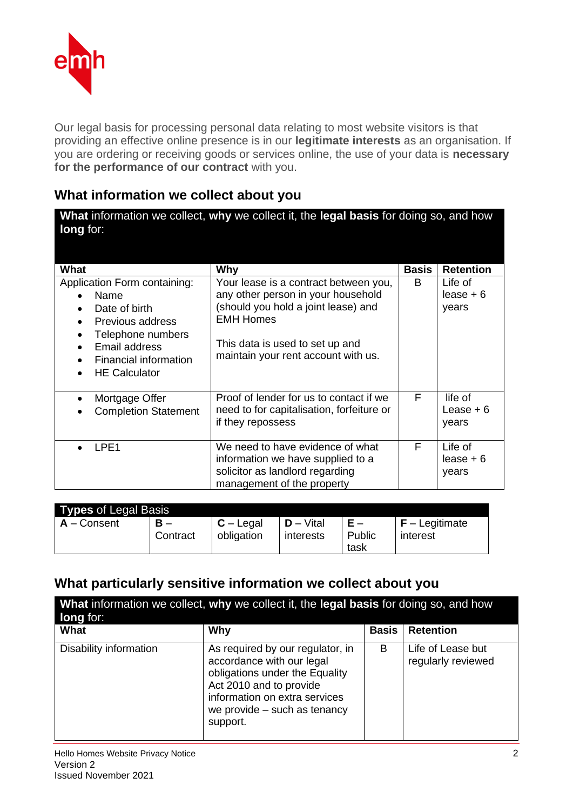

Our legal basis for processing personal data relating to most website visitors is that providing an effective online presence is in our **legitimate interests** as an organisation. If you are ordering or receiving goods or services online, the use of your data is **necessary for the performance of our contract** with you.

### **What information we collect about you**

| <b>long</b> for:                                                                                                                                                                                                     | What information we collect, why we collect it, the legal basis for doing so, and how                                                                                                                            |              |                                 |
|----------------------------------------------------------------------------------------------------------------------------------------------------------------------------------------------------------------------|------------------------------------------------------------------------------------------------------------------------------------------------------------------------------------------------------------------|--------------|---------------------------------|
| What                                                                                                                                                                                                                 | Why                                                                                                                                                                                                              | <b>Basis</b> | <b>Retention</b>                |
| Application Form containing:<br>Name<br>$\bullet$<br>Date of birth<br>Previous address<br>Telephone numbers<br>$\bullet$<br>Email address<br>$\bullet$<br>Financial information<br><b>HE Calculator</b><br>$\bullet$ | Your lease is a contract between you,<br>any other person in your household<br>(should you hold a joint lease) and<br><b>EMH Homes</b><br>This data is used to set up and<br>maintain your rent account with us. | B            | Life of<br>$lease + 6$<br>years |
| Mortgage Offer<br>$\bullet$<br><b>Completion Statement</b>                                                                                                                                                           | Proof of lender for us to contact if we<br>need to for capitalisation, forfeiture or<br>if they repossess                                                                                                        | F            | life of<br>Lease $+6$<br>years  |
| LPE <sub>1</sub><br>$\bullet$                                                                                                                                                                                        | We need to have evidence of what<br>information we have supplied to a<br>solicitor as landlord regarding<br>management of the property                                                                           | F            | Life of<br>$lease + 6$<br>years |

| <b>Types of Legal Basis</b> |          |             |              |        |                  |
|-----------------------------|----------|-------------|--------------|--------|------------------|
| $A -$ Consent               | $B -$    | $C -$ Legal | $D - V$ ital | Public | $F -$ Legitimate |
|                             | Contract | obligation  | interests    | task   | interest         |

## **What particularly sensitive information we collect about you**

| What information we collect, why we collect it, the legal basis for doing so, and how<br><b>long</b> for: |                                                                                                                                                                                                         |              |                                         |
|-----------------------------------------------------------------------------------------------------------|---------------------------------------------------------------------------------------------------------------------------------------------------------------------------------------------------------|--------------|-----------------------------------------|
| What                                                                                                      | Why                                                                                                                                                                                                     | <b>Basis</b> | <b>Retention</b>                        |
| Disability information                                                                                    | As required by our regulator, in<br>accordance with our legal<br>obligations under the Equality<br>Act 2010 and to provide<br>information on extra services<br>we provide – such as tenancy<br>support. | B            | Life of Lease but<br>regularly reviewed |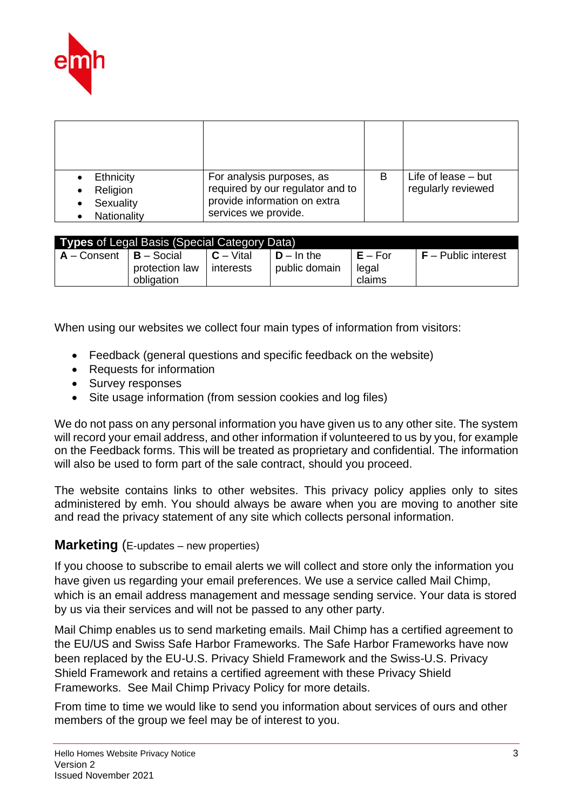

| Ethnicity<br>Religion<br>Sexuality | For analysis purposes, as<br>required by our regulator and to<br>provide information on extra | В | Life of lease $-$ but<br>regularly reviewed |
|------------------------------------|-----------------------------------------------------------------------------------------------|---|---------------------------------------------|
| Nationality                        | services we provide.                                                                          |   |                                             |

| <b>Types</b> of Legal Basis (Special Category Data) |                     |              |               |           |                                |
|-----------------------------------------------------|---------------------|--------------|---------------|-----------|--------------------------------|
| $A -$ Consent                                       | l <b>B</b> – Social | $C - V$ ital | $D - In the$  | $E - For$ | $\mathsf{F}$ – Public interest |
|                                                     | protection law      | interests    | public domain | legal     |                                |
|                                                     | obligation          |              |               | claims    |                                |

When using our websites we collect four main types of information from visitors:

- Feedback (general questions and specific feedback on the website)
- Requests for information
- Survey responses
- Site usage information (from session cookies and log files)

We do not pass on any personal information you have given us to any other site. The system will record your email address, and other information if volunteered to us by you, for example on the Feedback forms. This will be treated as proprietary and confidential. The information will also be used to form part of the sale contract, should you proceed.

The website contains links to other websites. This privacy policy applies only to sites administered by emh. You should always be aware when you are moving to another site and read the privacy statement of any site which collects personal information.

#### **Marketing** (E-updates – new properties)

If you choose to subscribe to email alerts we will collect and store only the information you have given us regarding your email preferences. We use a service called Mail Chimp, which is an email address management and message sending service. Your data is stored by us via their services and will not be passed to any other party.

Mail Chimp enables us to send marketing emails. Mail Chimp has a certified agreement to the EU/US and Swiss Safe Harbor Frameworks. The Safe Harbor Frameworks have now been replaced by the EU-U.S. Privacy Shield Framework and the Swiss-U.S. Privacy Shield Framework and retains a certified agreement with these Privacy Shield Frameworks. See Mail Chimp Privacy Policy for more details.

From time to time we would like to send you information about services of ours and other members of the group we feel may be of interest to you.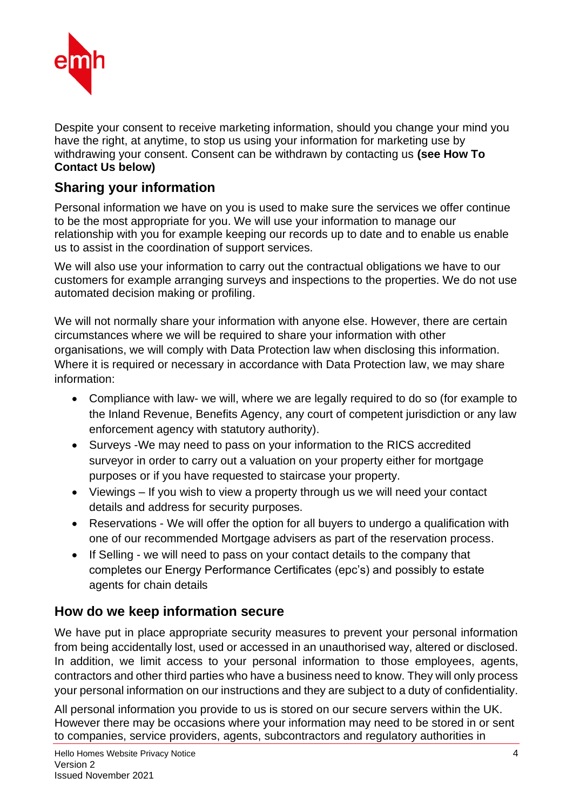

Despite your consent to receive marketing information, should you change your mind you have the right, at anytime, to stop us using your information for marketing use by withdrawing your consent. Consent can be withdrawn by contacting us **(see How To Contact Us below)**

## **Sharing your information**

Personal information we have on you is used to make sure the services we offer continue to be the most appropriate for you. We will use your information to manage our relationship with you for example keeping our records up to date and to enable us enable us to assist in the coordination of support services.

We will also use your information to carry out the contractual obligations we have to our customers for example arranging surveys and inspections to the properties. We do not use automated decision making or profiling.

We will not normally share your information with anyone else. However, there are certain circumstances where we will be required to share your information with other organisations, we will comply with Data Protection law when disclosing this information. Where it is required or necessary in accordance with Data Protection law, we may share information:

- Compliance with law- we will, where we are legally required to do so (for example to the Inland Revenue, Benefits Agency, any court of competent jurisdiction or any law enforcement agency with statutory authority).
- Surveys -We may need to pass on your information to the RICS accredited surveyor in order to carry out a valuation on your property either for mortgage purposes or if you have requested to staircase your property.
- Viewings If you wish to view a property through us we will need your contact details and address for security purposes.
- Reservations We will offer the option for all buyers to undergo a qualification with one of our recommended Mortgage advisers as part of the reservation process.
- If Selling we will need to pass on your contact details to the company that completes our Energy Performance Certificates (epc's) and possibly to estate agents for chain details

## **How do we keep information secure**

We have put in place appropriate security measures to prevent your personal information from being accidentally lost, used or accessed in an unauthorised way, altered or disclosed. In addition, we limit access to your personal information to those employees, agents, contractors and other third parties who have a business need to know. They will only process your personal information on our instructions and they are subject to a duty of confidentiality.

All personal information you provide to us is stored on our secure servers within the UK. However there may be occasions where your information may need to be stored in or sent to companies, service providers, agents, subcontractors and regulatory authorities in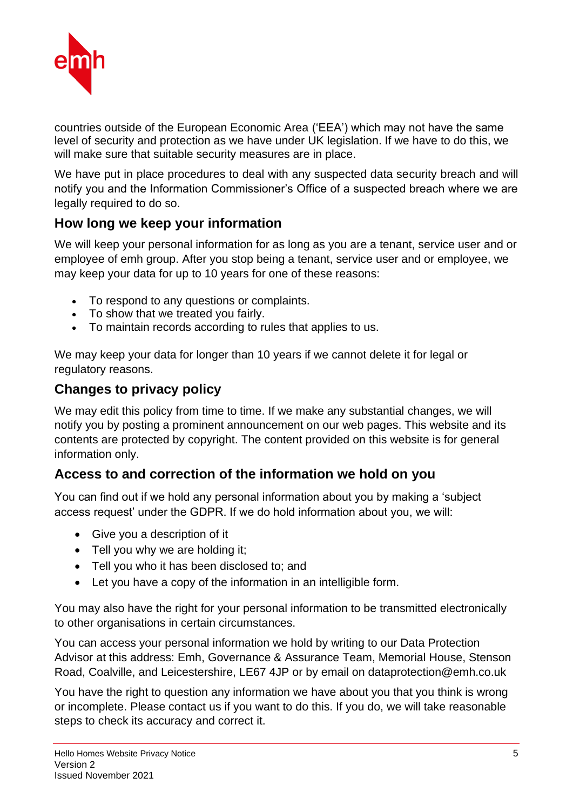

countries outside of the European Economic Area ('EEA') which may not have the same level of security and protection as we have under UK legislation. If we have to do this, we will make sure that suitable security measures are in place.

We have put in place procedures to deal with any suspected data security breach and will notify you and the Information Commissioner's Office of a suspected breach where we are legally required to do so.

## **How long we keep your information**

We will keep your personal information for as long as you are a tenant, service user and or employee of emh group. After you stop being a tenant, service user and or employee, we may keep your data for up to 10 years for one of these reasons:

- To respond to any questions or complaints.
- To show that we treated you fairly.
- To maintain records according to rules that applies to us.

We may keep your data for longer than 10 years if we cannot delete it for legal or regulatory reasons.

### **Changes to privacy policy**

We may edit this policy from time to time. If we make any substantial changes, we will notify you by posting a prominent announcement on our web pages. This website and its contents are protected by copyright. The content provided on this website is for general information only.

## **Access to and correction of the information we hold on you**

You can find out if we hold any personal information about you by making a 'subject access request' under the GDPR. If we do hold information about you, we will:

- Give you a description of it
- Tell you why we are holding it;
- Tell you who it has been disclosed to; and
- Let you have a copy of the information in an intelligible form.

You may also have the right for your personal information to be transmitted electronically to other organisations in certain circumstances.

You can access your personal information we hold by writing to our Data Protection Advisor at this address: Emh, Governance & Assurance Team, Memorial House, Stenson Road, Coalville, and Leicestershire, LE67 4JP or by email on dataprotection@emh.co.uk

You have the right to question any information we have about you that you think is wrong or incomplete. Please contact us if you want to do this. If you do, we will take reasonable steps to check its accuracy and correct it.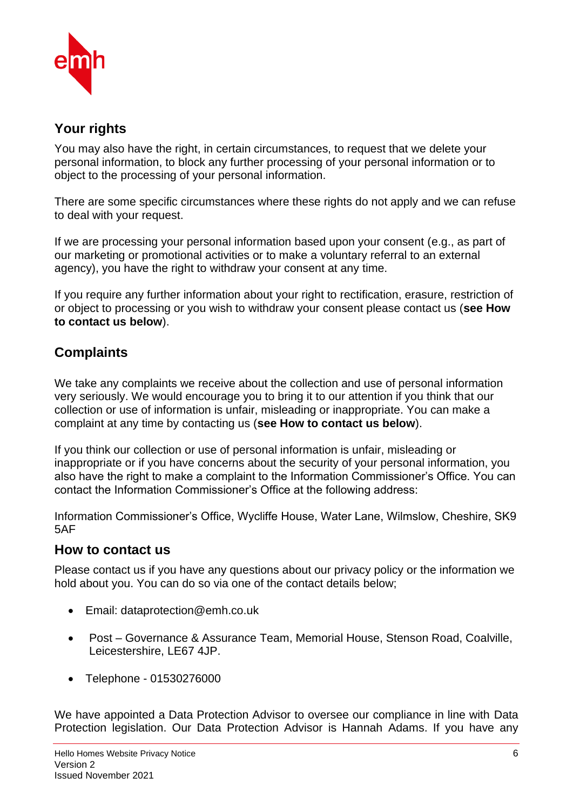

## **Your rights**

You may also have the right, in certain circumstances, to request that we delete your personal information, to block any further processing of your personal information or to object to the processing of your personal information.

There are some specific circumstances where these rights do not apply and we can refuse to deal with your request.

If we are processing your personal information based upon your consent (e.g., as part of our marketing or promotional activities or to make a voluntary referral to an external agency), you have the right to withdraw your consent at any time.

If you require any further information about your right to rectification, erasure, restriction of or object to processing or you wish to withdraw your consent please contact us (**see How to contact us below**).

# **Complaints**

We take any complaints we receive about the collection and use of personal information very seriously. We would encourage you to bring it to our attention if you think that our collection or use of information is unfair, misleading or inappropriate. You can make a complaint at any time by contacting us (**see How to contact us below**).

If you think our collection or use of personal information is unfair, misleading or inappropriate or if you have concerns about the security of your personal information, you also have the right to make a complaint to the Information Commissioner's Office. You can contact the Information Commissioner's Office at the following address:

Information Commissioner's Office, Wycliffe House, Water Lane, Wilmslow, Cheshire, SK9 5AF

### **How to contact us**

Please contact us if you have any questions about our privacy policy or the information we hold about you. You can do so via one of the contact details below;

- Email: dataprotection@emh.co.uk
- Post Governance & Assurance Team, Memorial House, Stenson Road, Coalville, Leicestershire, LE67 4JP.
- Telephone 01530276000

We have appointed a Data Protection Advisor to oversee our compliance in line with Data Protection legislation. Our Data Protection Advisor is Hannah Adams. If you have any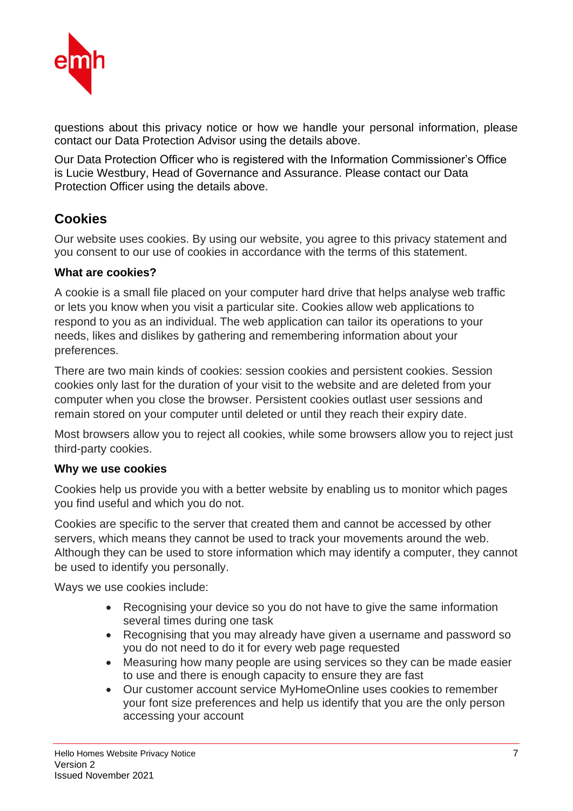

questions about this privacy notice or how we handle your personal information, please contact our Data Protection Advisor using the details above.

Our Data Protection Officer who is registered with the Information Commissioner's Office is Lucie Westbury, Head of Governance and Assurance. Please contact our Data Protection Officer using the details above.

## **Cookies**

Our website uses cookies. By using our website, you agree to this privacy statement and you consent to our use of cookies in accordance with the terms of this statement.

#### **What are cookies?**

A cookie is a small file placed on your computer hard drive that helps analyse web traffic or lets you know when you visit a particular site. Cookies allow web applications to respond to you as an individual. The web application can tailor its operations to your needs, likes and dislikes by gathering and remembering information about your preferences.

There are two main kinds of cookies: session cookies and persistent cookies. Session cookies only last for the duration of your visit to the website and are deleted from your computer when you close the browser. Persistent cookies outlast user sessions and remain stored on your computer until deleted or until they reach their expiry date.

Most browsers allow you to reject all cookies, while some browsers allow you to reject just third-party cookies.

#### **Why we use cookies**

Cookies help us provide you with a better website by enabling us to monitor which pages you find useful and which you do not.

Cookies are specific to the server that created them and cannot be accessed by other servers, which means they cannot be used to track your movements around the web. Although they can be used to store information which may identify a computer, they cannot be used to identify you personally.

Ways we use cookies include:

- Recognising your device so you do not have to give the same information several times during one task
- Recognising that you may already have given a username and password so you do not need to do it for every web page requested
- Measuring how many people are using services so they can be made easier to use and there is enough capacity to ensure they are fast
- Our customer account service MyHomeOnline uses cookies to remember your font size preferences and help us identify that you are the only person accessing your account